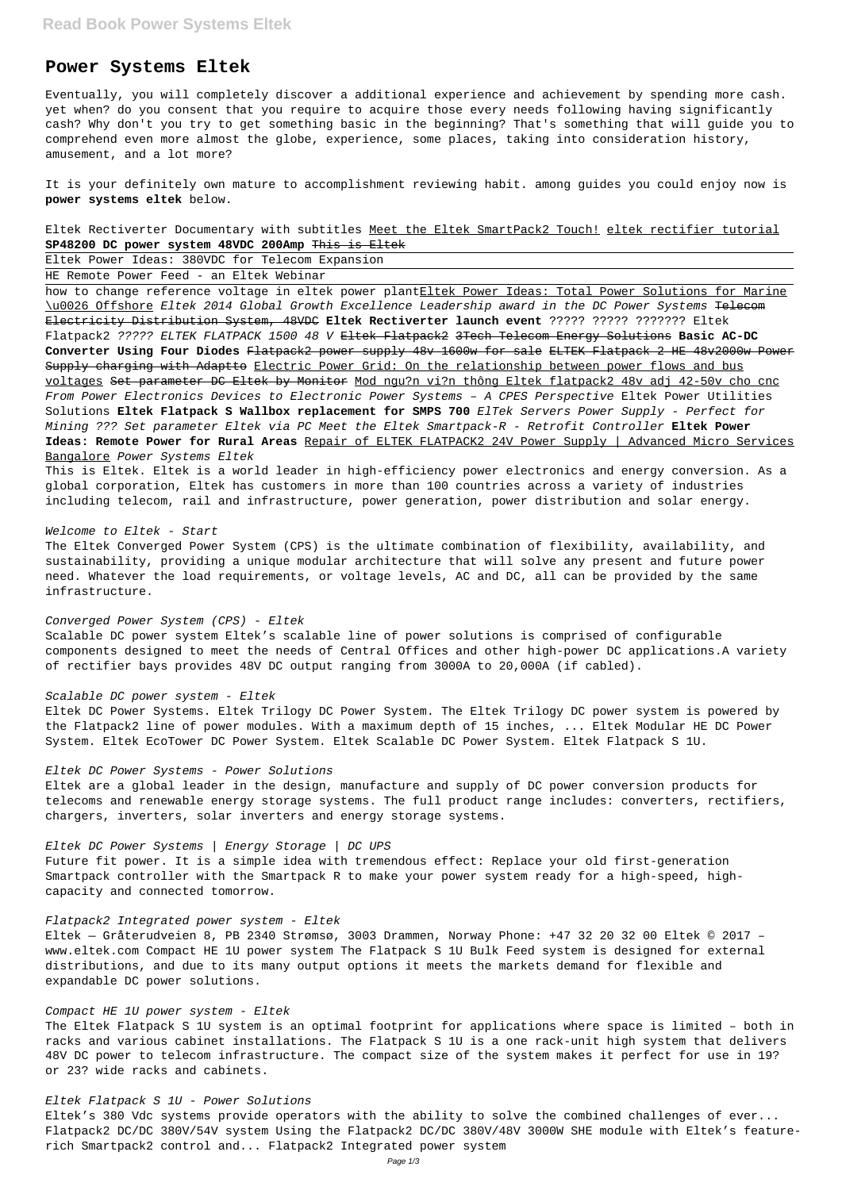# **Power Systems Eltek**

Eventually, you will completely discover a additional experience and achievement by spending more cash. yet when? do you consent that you require to acquire those every needs following having significantly cash? Why don't you try to get something basic in the beginning? That's something that will guide you to comprehend even more almost the globe, experience, some places, taking into consideration history, amusement, and a lot more?

It is your definitely own mature to accomplishment reviewing habit. among guides you could enjoy now is **power systems eltek** below.

Eltek Rectiverter Documentary with subtitles Meet the Eltek SmartPack2 Touch! eltek rectifier tutorial **SP48200 DC power system 48VDC 200Amp** This is Eltek

Eltek Power Ideas: 380VDC for Telecom Expansion

HE Remote Power Feed - an Eltek Webinar

how to change reference voltage in eltek power plantEltek Power Ideas: Total Power Solutions for Marine \u0026 Offshore Eltek 2014 Global Growth Excellence Leadership award in the DC Power Systems Telecom Electricity Distribution System, 48VDC **Eltek Rectiverter launch event** ????? ????? ??????? Eltek Flatpack2 ????? ELTEK FLATPACK 1500 48 V Eltek Flatpack2 3Tech Telecom Energy Solutions **Basic AC-DC Converter Using Four Diodes** Flatpack2 power supply 48v 1600w for sale ELTEK Flatpack 2 HE 48v2000w Power Supply charging with Adaptto Electric Power Grid: On the relationship between power flows and bus voltages Set parameter DC Eltek by Monitor Mod ngu?n vi?n thông Eltek flatpack2 48v adj 42-50v cho cnc From Power Electronics Devices to Electronic Power Systems – A CPES Perspective Eltek Power Utilities Solutions **Eltek Flatpack S Wallbox replacement for SMPS 700** ElTek Servers Power Supply - Perfect for Mining ??? Set parameter Eltek via PC Meet the Eltek Smartpack-R - Retrofit Controller **Eltek Power Ideas: Remote Power for Rural Areas** Repair of ELTEK FLATPACK2 24V Power Supply | Advanced Micro Services Bangalore Power Systems Eltek

This is Eltek. Eltek is a world leader in high-efficiency power electronics and energy conversion. As a global corporation, Eltek has customers in more than 100 countries across a variety of industries including telecom, rail and infrastructure, power generation, power distribution and solar energy.

#### Welcome to Eltek - Start

The Eltek Converged Power System (CPS) is the ultimate combination of flexibility, availability, and sustainability, providing a unique modular architecture that will solve any present and future power need. Whatever the load requirements, or voltage levels, AC and DC, all can be provided by the same infrastructure.

#### Converged Power System (CPS) - Eltek

Scalable DC power system Eltek's scalable line of power solutions is comprised of configurable components designed to meet the needs of Central Offices and other high-power DC applications.A variety of rectifier bays provides 48V DC output ranging from 3000A to 20,000A (if cabled).

## Scalable DC power system - Eltek

Eltek DC Power Systems. Eltek Trilogy DC Power System. The Eltek Trilogy DC power system is powered by the Flatpack2 line of power modules. With a maximum depth of 15 inches, ... Eltek Modular HE DC Power System. Eltek EcoTower DC Power System. Eltek Scalable DC Power System. Eltek Flatpack S 1U.

#### Eltek DC Power Systems - Power Solutions

Eltek are a global leader in the design, manufacture and supply of DC power conversion products for telecoms and renewable energy storage systems. The full product range includes: converters, rectifiers, chargers, inverters, solar inverters and energy storage systems.

# Eltek DC Power Systems | Energy Storage | DC UPS

Future fit power. It is a simple idea with tremendous effect: Replace your old first-generation Smartpack controller with the Smartpack R to make your power system ready for a high-speed, highcapacity and connected tomorrow.

#### Flatpack2 Integrated power system - Eltek

Eltek — Gråterudveien 8, PB 2340 Strømsø, 3003 Drammen, Norway Phone: +47 32 20 32 00 Eltek © 2017 – www.eltek.com Compact HE 1U power system The Flatpack S 1U Bulk Feed system is designed for external distributions, and due to its many output options it meets the markets demand for flexible and expandable DC power solutions.

Compact HE 1U power system - Eltek

The Eltek Flatpack S 1U system is an optimal footprint for applications where space is limited – both in racks and various cabinet installations. The Flatpack S 1U is a one rack-unit high system that delivers 48V DC power to telecom infrastructure. The compact size of the system makes it perfect for use in 19? or 23? wide racks and cabinets.

Eltek Flatpack S 1U - Power Solutions

Eltek's 380 Vdc systems provide operators with the ability to solve the combined challenges of ever... Flatpack2 DC/DC 380V/54V system Using the Flatpack2 DC/DC 380V/48V 3000W SHE module with Eltek's featurerich Smartpack2 control and... Flatpack2 Integrated power system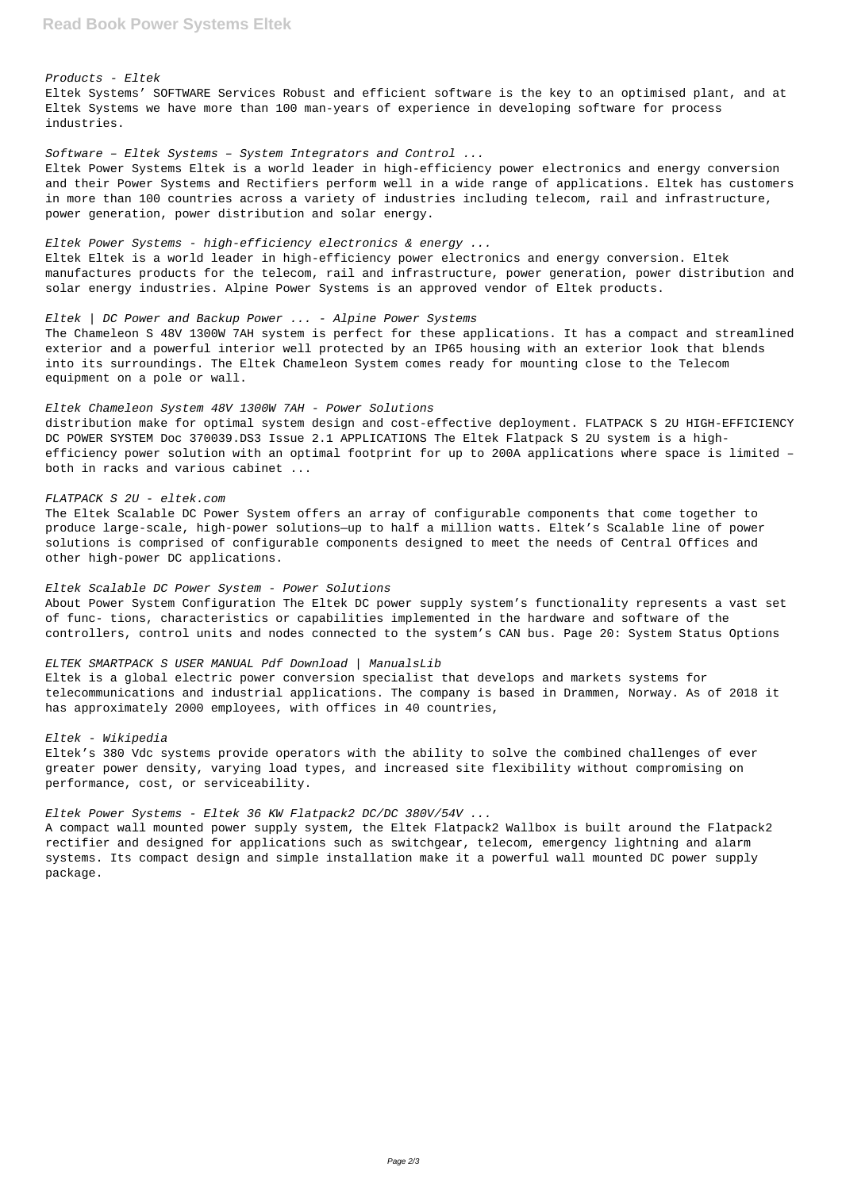#### Products - Eltek

Eltek Systems' SOFTWARE Services Robust and efficient software is the key to an optimised plant, and at Eltek Systems we have more than 100 man-years of experience in developing software for process industries.

Software – Eltek Systems – System Integrators and Control ...

Eltek Power Systems Eltek is a world leader in high-efficiency power electronics and energy conversion and their Power Systems and Rectifiers perform well in a wide range of applications. Eltek has customers in more than 100 countries across a variety of industries including telecom, rail and infrastructure, power generation, power distribution and solar energy.

## Eltek Power Systems - high-efficiency electronics & energy ...

Eltek Eltek is a world leader in high-efficiency power electronics and energy conversion. Eltek manufactures products for the telecom, rail and infrastructure, power generation, power distribution and solar energy industries. Alpine Power Systems is an approved vendor of Eltek products.

#### Eltek | DC Power and Backup Power ... - Alpine Power Systems

The Chameleon S 48V 1300W 7AH system is perfect for these applications. It has a compact and streamlined exterior and a powerful interior well protected by an IP65 housing with an exterior look that blends into its surroundings. The Eltek Chameleon System comes ready for mounting close to the Telecom equipment on a pole or wall.

#### Eltek Chameleon System 48V 1300W 7AH - Power Solutions

distribution make for optimal system design and cost-effective deployment. FLATPACK S 2U HIGH-EFFICIENCY DC POWER SYSTEM Doc 370039.DS3 Issue 2.1 APPLICATIONS The Eltek Flatpack S 2U system is a highefficiency power solution with an optimal footprint for up to 200A applications where space is limited – both in racks and various cabinet ...

#### FLATPACK S 2U - eltek.com

The Eltek Scalable DC Power System offers an array of configurable components that come together to produce large-scale, high-power solutions—up to half a million watts. Eltek's Scalable line of power solutions is comprised of configurable components designed to meet the needs of Central Offices and other high-power DC applications.

#### Eltek Scalable DC Power System - Power Solutions

About Power System Configuration The Eltek DC power supply system's functionality represents a vast set of func- tions, characteristics or capabilities implemented in the hardware and software of the controllers, control units and nodes connected to the system's CAN bus. Page 20: System Status Options

#### ELTEK SMARTPACK S USER MANUAL Pdf Download | ManualsLib

Eltek is a global electric power conversion specialist that develops and markets systems for telecommunications and industrial applications. The company is based in Drammen, Norway. As of 2018 it has approximately 2000 employees, with offices in 40 countries,

#### Eltek - Wikipedia

Eltek's 380 Vdc systems provide operators with the ability to solve the combined challenges of ever greater power density, varying load types, and increased site flexibility without compromising on performance, cost, or serviceability.

### Eltek Power Systems - Eltek 36 KW Flatpack2 DC/DC 380V/54V ...

A compact wall mounted power supply system, the Eltek Flatpack2 Wallbox is built around the Flatpack2 rectifier and designed for applications such as switchgear, telecom, emergency lightning and alarm systems. Its compact design and simple installation make it a powerful wall mounted DC power supply package.